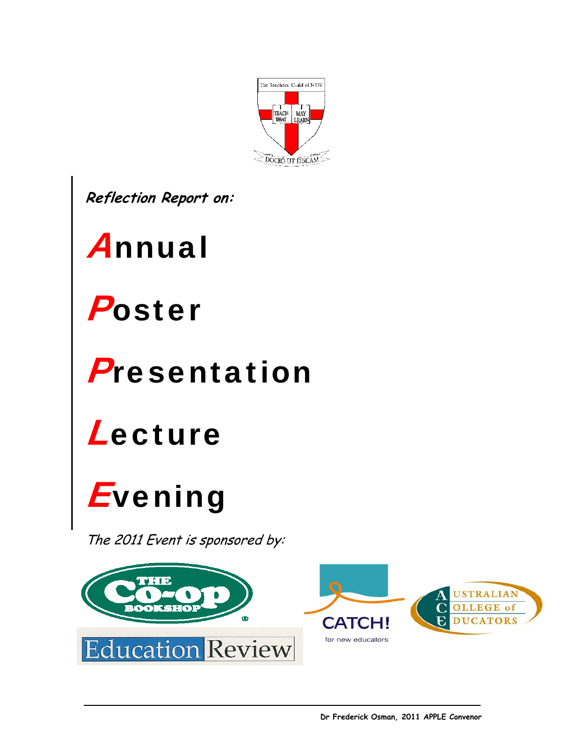

**Reflection Report on:** 

# Annual



### Presentation



# *Evening*

The 2011 Event is sponsored by:

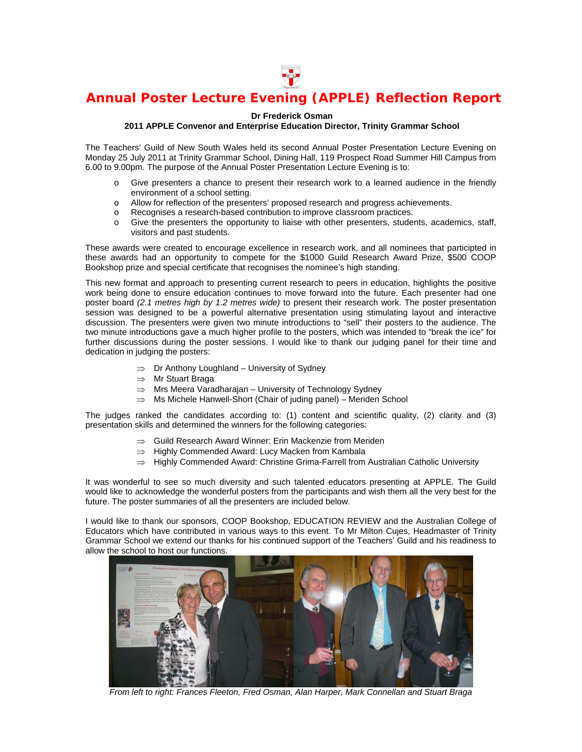

### **Annual Poster Lecture Evening (APPLE) Reflection Report**

#### **Dr Frederick Osman**

#### **2011 APPLE Convenor and Enterprise Education Director, Trinity Grammar School**

The Teachers' Guild of New South Wales held its second Annual Poster Presentation Lecture Evening on Monday 25 July 2011 at Trinity Grammar School, Dining Hall, 119 Prospect Road Summer Hill Campus from 6.00 to 9.00pm. The purpose of the Annual Poster Presentation Lecture Evening is to:

- o Give presenters a chance to present their research work to a learned audience in the friendly environment of a school setting.
- o Allow for reflection of the presenters' proposed research and progress achievements.
- o Recognises a research-based contribution to improve classroom practices.
- o Give the presenters the opportunity to liaise with other presenters, students, academics, staff, visitors and past students.

These awards were created to encourage excellence in research work, and all nominees that participted in these awards had an opportunity to compete for the \$1000 Guild Research Award Prize, \$500 COOP Bookshop prize and special certificate that recognises the nominee's high standing.

This new format and approach to presenting current research to peers in education, highlights the positive work being done to ensure education continues to move forward into the future. Each presenter had one poster board *(2.1 metres high by 1.2 metres wide)* to present their research work. The poster presentation session was designed to be a powerful alternative presentation using stimulating layout and interactive discussion. The presenters were given two minute introductions to "sell" their posters to the audience. The two minute introductions gave a much higher profile to the posters, which was intended to "break the ice" for further discussions during the poster sessions. I would like to thank our judging panel for their time and dedication in judging the posters:

- ⇒ Dr Anthony Loughland University of Sydney
- ⇒ Mr Stuart Braga
- ⇒ Mrs Meera Varadharajan University of Technology Sydney
- ⇒ Ms Michele Hanwell-Short (Chair of juding panel) Meriden School

The judges ranked the candidates according to: (1) content and scientific quality, (2) clarity and (3) presentation skills and determined the winners for the following categories:

- ⇒ Guild Research Award Winner: Erin Mackenzie from Meriden
- ⇒ Highly Commended Award: Lucy Macken from Kambala
- ⇒ Highly Commended Award: Christine Grima-Farrell from Australian Catholic University

It was wonderful to see so much diversity and such talented educators presenting at APPLE. The Guild would like to acknowledge the wonderful posters from the participants and wish them all the very best for the future. The poster summaries of all the presenters are included below.

I would like to thank our sponsors, COOP Bookshop, EDUCATION REVIEW and the Australian College of Educators which have contributed in various ways to this event. To Mr Milton Cujes, Headmaster of Trinity Grammar School we extend our thanks for his continued support of the Teachers' Guild and his readiness to allow the school to host our functions.



*From left to right: Frances Fleeton, Fred Osman, Alan Harper, Mark Connellan and Stuart Braga*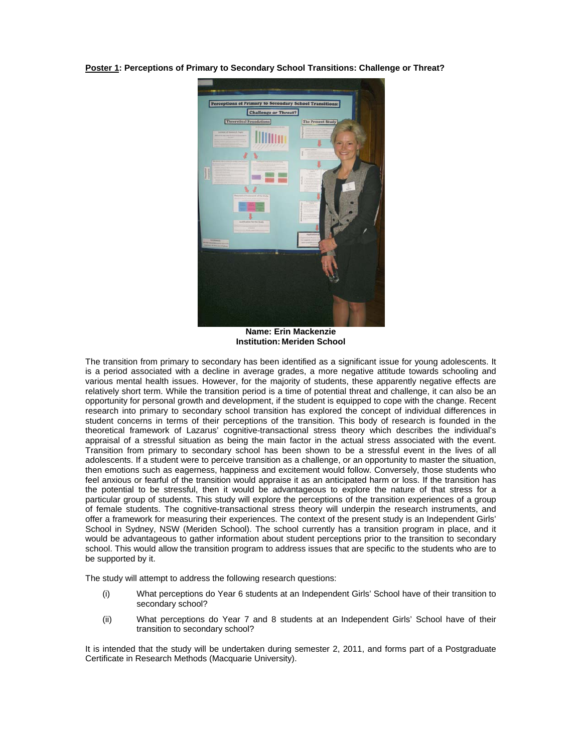**Poster 1: Perceptions of Primary to Secondary School Transitions: Challenge or Threat?** 



**Name: Erin Mackenzie Institution: Meriden School** 

The transition from primary to secondary has been identified as a significant issue for young adolescents. It is a period associated with a decline in average grades, a more negative attitude towards schooling and various mental health issues. However, for the majority of students, these apparently negative effects are relatively short term. While the transition period is a time of potential threat and challenge, it can also be an opportunity for personal growth and development, if the student is equipped to cope with the change. Recent research into primary to secondary school transition has explored the concept of individual differences in student concerns in terms of their perceptions of the transition. This body of research is founded in the theoretical framework of Lazarus' cognitive-transactional stress theory which describes the individual's appraisal of a stressful situation as being the main factor in the actual stress associated with the event. Transition from primary to secondary school has been shown to be a stressful event in the lives of all adolescents. If a student were to perceive transition as a challenge, or an opportunity to master the situation, then emotions such as eagerness, happiness and excitement would follow. Conversely, those students who feel anxious or fearful of the transition would appraise it as an anticipated harm or loss. If the transition has the potential to be stressful, then it would be advantageous to explore the nature of that stress for a particular group of students. This study will explore the perceptions of the transition experiences of a group of female students. The cognitive-transactional stress theory will underpin the research instruments, and offer a framework for measuring their experiences. The context of the present study is an Independent Girls' School in Sydney, NSW (Meriden School). The school currently has a transition program in place, and it would be advantageous to gather information about student perceptions prior to the transition to secondary school. This would allow the transition program to address issues that are specific to the students who are to be supported by it.

The study will attempt to address the following research questions:

- (i) What perceptions do Year 6 students at an Independent Girls' School have of their transition to secondary school?
- (ii) What perceptions do Year 7 and 8 students at an Independent Girls' School have of their transition to secondary school?

It is intended that the study will be undertaken during semester 2, 2011, and forms part of a Postgraduate Certificate in Research Methods (Macquarie University).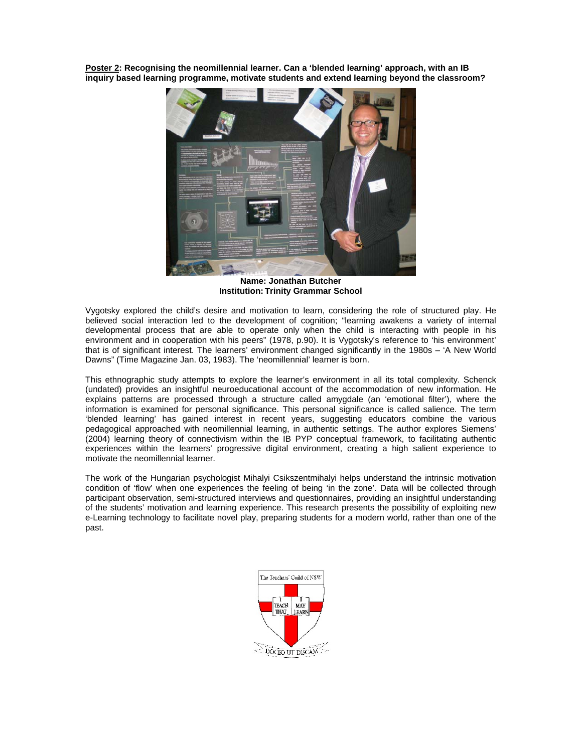**Poster 2: Recognising the neomillennial learner. Can a 'blended learning' approach, with an IB inquiry based learning programme, motivate students and extend learning beyond the classroom?** 



**Name: Jonathan Butcher Institution: Trinity Grammar School** 

Vygotsky explored the child's desire and motivation to learn, considering the role of structured play. He believed social interaction led to the development of cognition; "learning awakens a variety of internal developmental process that are able to operate only when the child is interacting with people in his environment and in cooperation with his peers" (1978, p.90). It is Vygotsky's reference to 'his environment' that is of significant interest. The learners' environment changed significantly in the 1980s – 'A New World Dawns" (Time Magazine Jan. 03, 1983). The 'neomillennial' learner is born.

This ethnographic study attempts to explore the learner's environment in all its total complexity. Schenck (undated) provides an insightful neuroeducational account of the accommodation of new information. He explains patterns are processed through a structure called amygdale (an 'emotional filter'), where the information is examined for personal significance. This personal significance is called salience. The term 'blended learning' has gained interest in recent years, suggesting educators combine the various pedagogical approached with neomillennial learning, in authentic settings. The author explores Siemens' (2004) learning theory of connectivism within the IB PYP conceptual framework, to facilitating authentic experiences within the learners' progressive digital environment, creating a high salient experience to motivate the neomillennial learner.

The work of the Hungarian psychologist Mihalyi Csikszentmihalyi helps understand the intrinsic motivation condition of 'flow' when one experiences the feeling of being 'in the zone'. Data will be collected through participant observation, semi-structured interviews and questionnaires, providing an insightful understanding of the students' motivation and learning experience. This research presents the possibility of exploiting new e-Learning technology to facilitate novel play, preparing students for a modern world, rather than one of the past.

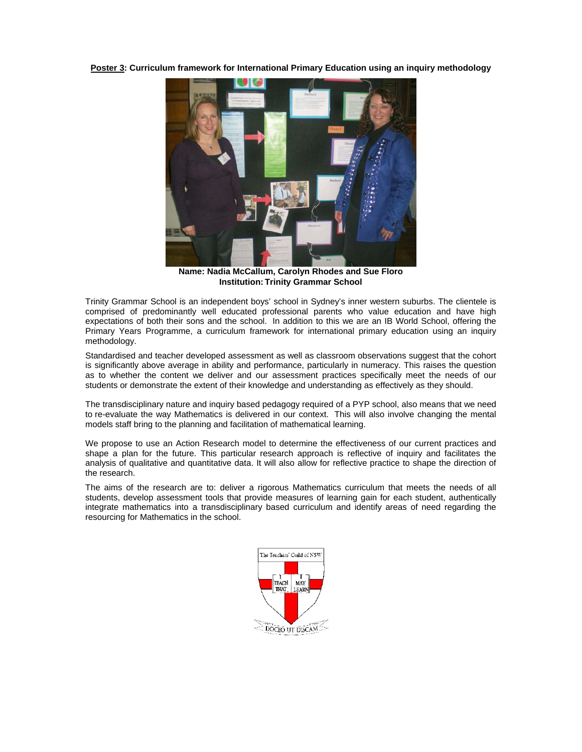**Poster 3: Curriculum framework for International Primary Education using an inquiry methodology** 



**Name: Nadia McCallum, Carolyn Rhodes and Sue Floro Institution: Trinity Grammar School** 

Trinity Grammar School is an independent boys' school in Sydney's inner western suburbs. The clientele is comprised of predominantly well educated professional parents who value education and have high expectations of both their sons and the school. In addition to this we are an IB World School, offering the Primary Years Programme, a curriculum framework for international primary education using an inquiry methodology.

Standardised and teacher developed assessment as well as classroom observations suggest that the cohort is significantly above average in ability and performance, particularly in numeracy. This raises the question as to whether the content we deliver and our assessment practices specifically meet the needs of our students or demonstrate the extent of their knowledge and understanding as effectively as they should.

The transdisciplinary nature and inquiry based pedagogy required of a PYP school, also means that we need to re-evaluate the way Mathematics is delivered in our context. This will also involve changing the mental models staff bring to the planning and facilitation of mathematical learning.

We propose to use an Action Research model to determine the effectiveness of our current practices and shape a plan for the future. This particular research approach is reflective of inquiry and facilitates the analysis of qualitative and quantitative data. It will also allow for reflective practice to shape the direction of the research.

The aims of the research are to: deliver a rigorous Mathematics curriculum that meets the needs of all students, develop assessment tools that provide measures of learning gain for each student, authentically integrate mathematics into a transdisciplinary based curriculum and identify areas of need regarding the resourcing for Mathematics in the school.

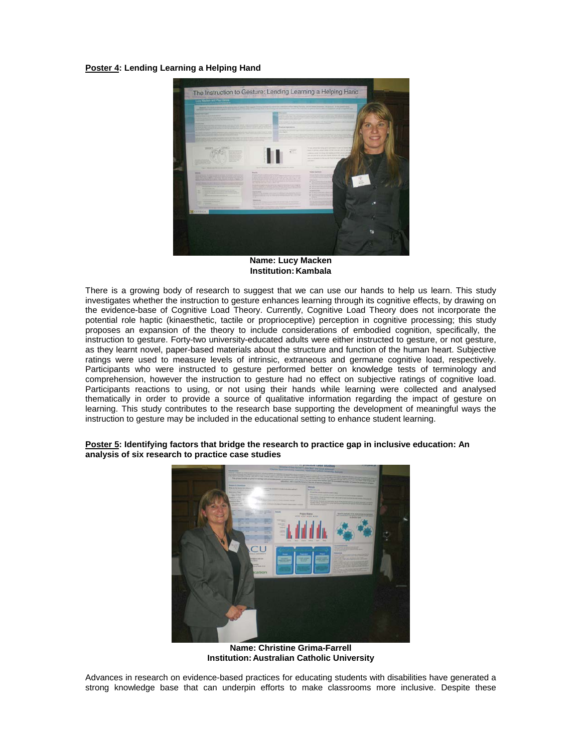#### **Poster 4: Lending Learning a Helping Hand**



**Name: Lucy Macken Institution: Kambala** 

There is a growing body of research to suggest that we can use our hands to help us learn. This study investigates whether the instruction to gesture enhances learning through its cognitive effects, by drawing on the evidence-base of Cognitive Load Theory. Currently, Cognitive Load Theory does not incorporate the potential role haptic (kinaesthetic, tactile or proprioceptive) perception in cognitive processing; this study proposes an expansion of the theory to include considerations of embodied cognition, specifically, the instruction to gesture. Forty-two university-educated adults were either instructed to gesture, or not gesture, as they learnt novel, paper-based materials about the structure and function of the human heart. Subjective ratings were used to measure levels of intrinsic, extraneous and germane cognitive load, respectively. Participants who were instructed to gesture performed better on knowledge tests of terminology and comprehension, however the instruction to gesture had no effect on subjective ratings of cognitive load. Participants reactions to using, or not using their hands while learning were collected and analysed thematically in order to provide a source of qualitative information regarding the impact of gesture on learning. This study contributes to the research base supporting the development of meaningful ways the instruction to gesture may be included in the educational setting to enhance student learning.



#### **Poster 5: Identifying factors that bridge the research to practice gap in inclusive education: An analysis of six research to practice case studies**

**Name: Christine Grima-Farrell Institution: Australian Catholic University** 

Advances in research on evidence-based practices for educating students with disabilities have generated a strong knowledge base that can underpin efforts to make classrooms more inclusive. Despite these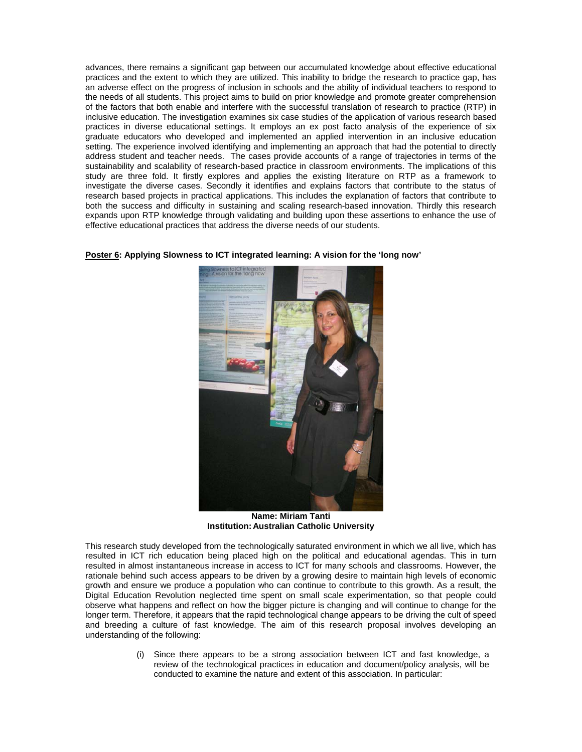advances, there remains a significant gap between our accumulated knowledge about effective educational practices and the extent to which they are utilized. This inability to bridge the research to practice gap, has an adverse effect on the progress of inclusion in schools and the ability of individual teachers to respond to the needs of all students. This project aims to build on prior knowledge and promote greater comprehension of the factors that both enable and interfere with the successful translation of research to practice (RTP) in inclusive education. The investigation examines six case studies of the application of various research based practices in diverse educational settings. It employs an ex post facto analysis of the experience of six graduate educators who developed and implemented an applied intervention in an inclusive education setting. The experience involved identifying and implementing an approach that had the potential to directly address student and teacher needs. The cases provide accounts of a range of trajectories in terms of the sustainability and scalability of research-based practice in classroom environments. The implications of this study are three fold. It firstly explores and applies the existing literature on RTP as a framework to investigate the diverse cases. Secondly it identifies and explains factors that contribute to the status of research based projects in practical applications. This includes the explanation of factors that contribute to both the success and difficulty in sustaining and scaling research-based innovation. Thirdly this research expands upon RTP knowledge through validating and building upon these assertions to enhance the use of effective educational practices that address the diverse needs of our students.

**Poster 6: Applying Slowness to ICT integrated learning: A vision for the 'long now'** 



**Name: Miriam Tanti Institution: Australian Catholic University** 

This research study developed from the technologically saturated environment in which we all live, which has resulted in ICT rich education being placed high on the political and educational agendas. This in turn resulted in almost instantaneous increase in access to ICT for many schools and classrooms. However, the rationale behind such access appears to be driven by a growing desire to maintain high levels of economic growth and ensure we produce a population who can continue to contribute to this growth. As a result, the Digital Education Revolution neglected time spent on small scale experimentation, so that people could observe what happens and reflect on how the bigger picture is changing and will continue to change for the longer term. Therefore, it appears that the rapid technological change appears to be driving the cult of speed and breeding a culture of fast knowledge. The aim of this research proposal involves developing an understanding of the following:

> (i) Since there appears to be a strong association between ICT and fast knowledge, a review of the technological practices in education and document/policy analysis, will be conducted to examine the nature and extent of this association. In particular: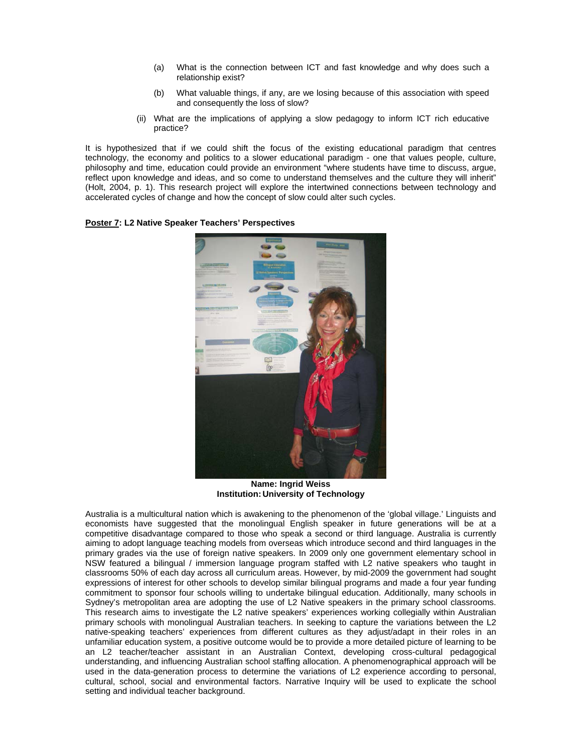- (a) What is the connection between ICT and fast knowledge and why does such a relationship exist?
- (b) What valuable things, if any, are we losing because of this association with speed and consequently the loss of slow?
- (ii) What are the implications of applying a slow pedagogy to inform ICT rich educative practice?

It is hypothesized that if we could shift the focus of the existing educational paradigm that centres technology, the economy and politics to a slower educational paradigm - one that values people, culture, philosophy and time, education could provide an environment "where students have time to discuss, argue, reflect upon knowledge and ideas, and so come to understand themselves and the culture they will inherit" (Holt, 2004, p. 1). This research project will explore the intertwined connections between technology and accelerated cycles of change and how the concept of slow could alter such cycles.

**Poster 7: L2 Native Speaker Teachers' Perspectives** 



**Name: Ingrid Weiss Institution: University of Technology** 

Australia is a multicultural nation which is awakening to the phenomenon of the 'global village.' Linguists and economists have suggested that the monolingual English speaker in future generations will be at a competitive disadvantage compared to those who speak a second or third language. Australia is currently aiming to adopt language teaching models from overseas which introduce second and third languages in the primary grades via the use of foreign native speakers. In 2009 only one government elementary school in NSW featured a bilingual / immersion language program staffed with L2 native speakers who taught in classrooms 50% of each day across all curriculum areas. However, by mid-2009 the government had sought expressions of interest for other schools to develop similar bilingual programs and made a four year funding commitment to sponsor four schools willing to undertake bilingual education. Additionally, many schools in Sydney's metropolitan area are adopting the use of L2 Native speakers in the primary school classrooms. This research aims to investigate the L2 native speakers' experiences working collegially within Australian primary schools with monolingual Australian teachers. In seeking to capture the variations between the L2 native-speaking teachers' experiences from different cultures as they adjust/adapt in their roles in an unfamiliar education system, a positive outcome would be to provide a more detailed picture of learning to be an L2 teacher/teacher assistant in an Australian Context, developing cross-cultural pedagogical understanding, and influencing Australian school staffing allocation. A phenomenographical approach will be used in the data-generation process to determine the variations of L2 experience according to personal, cultural, school, social and environmental factors. Narrative Inquiry will be used to explicate the school setting and individual teacher background.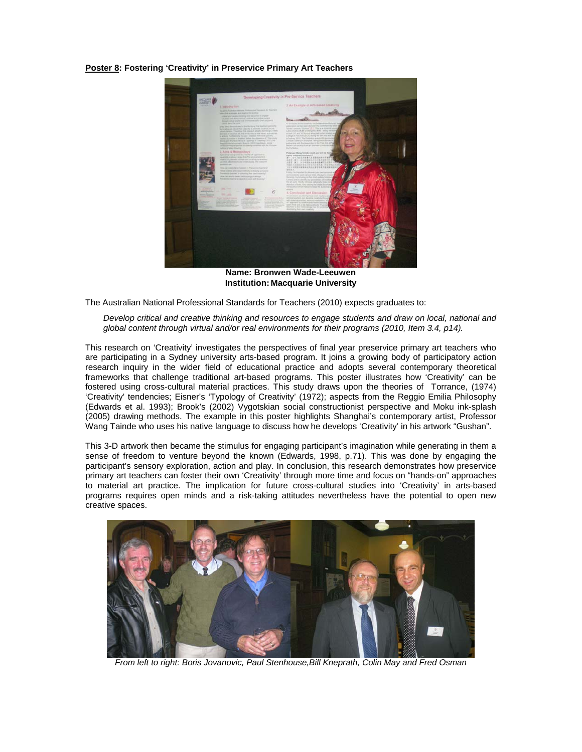**Poster 8: Fostering 'Creativity' in Preservice Primary Art Teachers** 



**Name: Bronwen Wade-Leeuwen Institution: Macquarie University** 

The Australian National Professional Standards for Teachers (2010) expects graduates to:

*Develop critical and creative thinking and resources to engage students and draw on local, national and global content through virtual and/or real environments for their programs (2010, Item 3.4, p14).* 

This research on 'Creativity' investigates the perspectives of final year preservice primary art teachers who are participating in a Sydney university arts-based program. It joins a growing body of participatory action research inquiry in the wider field of educational practice and adopts several contemporary theoretical frameworks that challenge traditional art-based programs. This poster illustrates how 'Creativity' can be fostered using cross-cultural material practices. This study draws upon the theories of Torrance, (1974) 'Creativity' tendencies; Eisner's 'Typology of Creativity' (1972); aspects from the Reggio Emilia Philosophy (Edwards et al. 1993); Brook's (2002) Vygotskian social constructionist perspective and Moku ink-splash (2005) drawing methods. The example in this poster highlights Shanghai's contemporary artist, Professor Wang Tainde who uses his native language to discuss how he develops 'Creativity' in his artwork "Gushan".

This 3-D artwork then became the stimulus for engaging participant's imagination while generating in them a sense of freedom to venture beyond the known (Edwards, 1998, p.71). This was done by engaging the participant's sensory exploration, action and play. In conclusion, this research demonstrates how preservice primary art teachers can foster their own 'Creativity' through more time and focus on "hands-on" approaches to material art practice. The implication for future cross-cultural studies into 'Creativity' in arts-based programs requires open minds and a risk-taking attitudes nevertheless have the potential to open new creative spaces.



*From left to right: Boris Jovanovic, Paul Stenhouse,Bill Kneprath, Colin May and Fred Osman*